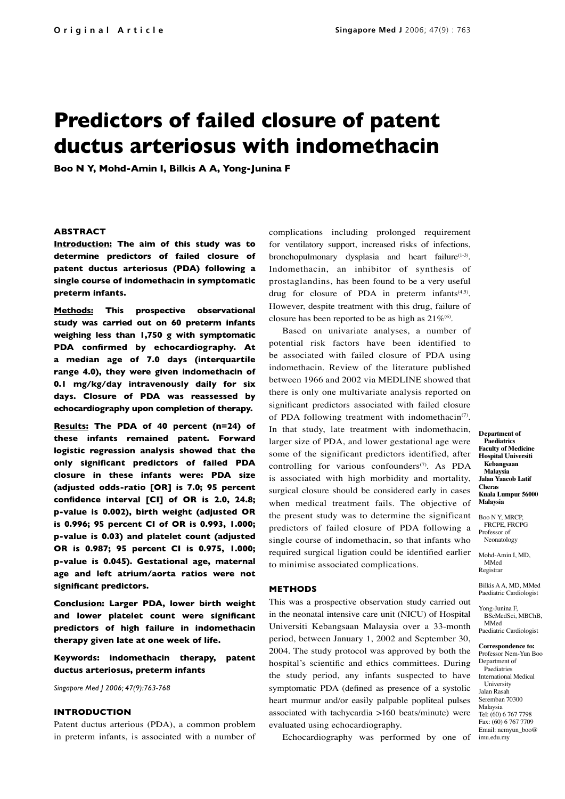# **Predictors of failed closure of patent ductus arteriosus with indomethacin**

**Boo N Y, Mohd-Amin I, Bilkis A A, Yong-Junina F**

### **ABSTRACT**

**Introduction: The aim of this study was to determine predictors of failed closure of patent ductus arteriosus (PDA) following a single course of indomethacin in symptomatic preterm infants.** 

**Methods: This prospective observational study was carried out on 60 preterm infants weighing less than 1,750 g with symptomatic PDA confirmed by echocardiography. At a median age of 7.0 days (interquartile range 4.0), they were given indomethacin of 0.1 mg/kg/day intravenously daily for six days. Closure of PDA was reassessed by echocardiography upon completion of therapy.** 

**Results: The PDA of 40 percent (n=24) of these infants remained patent. Forward logistic regression analysis showed that the only significant predictors of failed PDA closure in these infants were: PDA size (adjusted odds-ratio [OR] is 7.0; 95 percent confidence interval [CI] of OR is 2.0, 24.8; p-value is 0.002), birth weight (adjusted OR is 0.996; 95 percent CI of OR is 0.993, 1.000; p-value is 0.03) and platelet count (adjusted OR is 0.987; 95 percent CI is 0.975, 1.000; p-value is 0.045). Gestational age, maternal age and left atrium/aorta ratios were not significant predictors.** 

**Conclusion: Larger PDA, lower birth weight and lower platelet count were significant predictors of high failure in indomethacin therapy given late at one week of life.** 

# **Keywords: indomethacin therapy, patent ductus arteriosus, preterm infants**

*Singapore Med J 2006; 47(9):763-768*

#### **INTRODUCTION**

Patent ductus arterious (PDA), a common problem in preterm infants, is associated with a number of complications including prolonged requirement for ventilatory support, increased risks of infections, bronchopulmonary dysplasia and heart failure<sup>(1-3)</sup>. Indomethacin, an inhibitor of synthesis of prostaglandins, has been found to be a very useful drug for closure of PDA in preterm infants $(4,5)$ . However, despite treatment with this drug, failure of closure has been reported to be as high as  $21\%$ <sup>(6)</sup>.

Based on univariate analyses, a number of potential risk factors have been identified to be associated with failed closure of PDA using indomethacin. Review of the literature published between 1966 and 2002 via MEDLINE showed that there is only one multivariate analysis reported on significant predictors associated with failed closure of PDA following treatment with indomethacin<sup> $(7)$ </sup>. In that study, late treatment with indomethacin, larger size of PDA, and lower gestational age were some of the significant predictors identified, after controlling for various confounders<sup> $(7)$ </sup>. As PDA is associated with high morbidity and mortality, surgical closure should be considered early in cases when medical treatment fails. The objective of the present study was to determine the significant predictors of failed closure of PDA following a single course of indomethacin, so that infants who required surgical ligation could be identified earlier to minimise associated complications.

#### **METHODS**

This was a prospective observation study carried out in the neonatal intensive care unit (NICU) of Hospital Universiti Kebangsaan Malaysia over a 33-month period, between January 1, 2002 and September 30, 2004. The study protocol was approved by both the hospital's scientific and ethics committees. During the study period, any infants suspected to have symptomatic PDA (defined as presence of a systolic heart murmur and/or easily palpable popliteal pulses associated with tachycardia >160 beats/minute) were evaluated using echocardiography.

Echocardiography was performed by one of imu.edu.my

**Department of Paediatrics Faculty of Medicine Hospital Universiti Kebangsaan Malaysia Jalan Yaacob Latif Cheras Kuala Lumpur 56000 Malaysia**

Boo N Y, MRCP, FRCPE, FRCPG Professor of Neonatology

Mohd-Amin I, MD, MMed Registrar

Bilkis A A, MD, MMed Paediatric Cardiologist

Yong-Junina F, BScMedSci, MBChB, MMed Paediatric Cardiologist

# **Correspondence to:**

Professor Nem-Yun Boo Department of Paediatries International Medical University Jalan Rasah Seremban 70300 Malaysia Tel: (60) 6 767 7798 Fax: (60) 6 767 7709 Email: nemyun\_boo@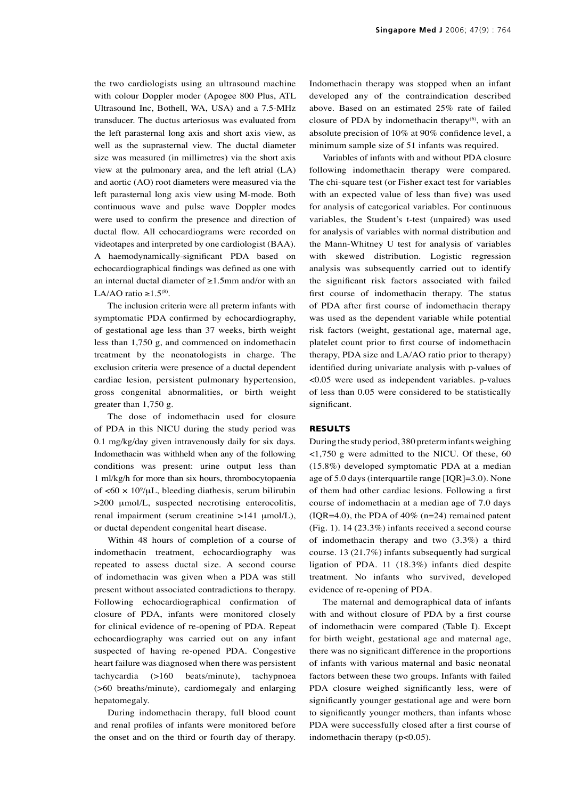the two cardiologists using an ultrasound machine with colour Doppler moder (Apogee 800 Plus, ATL Ultrasound Inc, Bothell, WA, USA) and a 7.5-MHz transducer. The ductus arteriosus was evaluated from the left parasternal long axis and short axis view, as well as the suprasternal view. The ductal diameter size was measured (in millimetres) via the short axis view at the pulmonary area, and the left atrial (LA) and aortic (AO) root diameters were measured via the left parasternal long axis view using M-mode. Both continuous wave and pulse wave Doppler modes were used to confirm the presence and direction of ductal flow. All echocardiograms were recorded on videotapes and interpreted by one cardiologist (BAA). A haemodynamically-significant PDA based on echocardiographical findings was defined as one with an internal ductal diameter of ≥1.5mm and/or with an LA/AO ratio  $\geq 1.5^{(8)}$ .

The inclusion criteria were all preterm infants with symptomatic PDA confirmed by echocardiography, of gestational age less than 37 weeks, birth weight less than 1,750 g, and commenced on indomethacin treatment by the neonatologists in charge. The exclusion criteria were presence of a ductal dependent cardiac lesion, persistent pulmonary hypertension, gross congenital abnormalities, or birth weight greater than 1,750 g.

The dose of indomethacin used for closure of PDA in this NICU during the study period was 0.1 mg/kg/day given intravenously daily for six days. Indomethacin was withheld when any of the following conditions was present: urine output less than 1 ml/kg/h for more than six hours, thrombocytopaenia of  $\langle 60 \times 10^9 \rangle$ uL, bleeding diathesis, serum bilirubin >200 μmol/L, suspected necrotising enterocolitis, renal impairment (serum creatinine >141 μmol/L), or ductal dependent congenital heart disease.

Within 48 hours of completion of a course of indomethacin treatment, echocardiography was repeated to assess ductal size. A second course of indomethacin was given when a PDA was still present without associated contradictions to therapy. Following echocardiographical confirmation of closure of PDA, infants were monitored closely for clinical evidence of re-opening of PDA. Repeat echocardiography was carried out on any infant suspected of having re-opened PDA. Congestive heart failure was diagnosed when there was persistent tachycardia (>160 beats/minute), tachypnoea (>60 breaths/minute), cardiomegaly and enlarging hepatomegaly.

During indomethacin therapy, full blood count and renal profiles of infants were monitored before the onset and on the third or fourth day of therapy.

Indomethacin therapy was stopped when an infant developed any of the contraindication described above. Based on an estimated 25% rate of failed closure of PDA by indomethacin therapy $(6)$ , with an absolute precision of 10% at 90% confidence level, a minimum sample size of 51 infants was required.

Variables of infants with and without PDA closure following indomethacin therapy were compared. The chi-square test (or Fisher exact test for variables with an expected value of less than five) was used for analysis of categorical variables. For continuous variables, the Student's t-test (unpaired) was used for analysis of variables with normal distribution and the Mann-Whitney U test for analysis of variables with skewed distribution. Logistic regression analysis was subsequently carried out to identify the significant risk factors associated with failed first course of indomethacin therapy. The status of PDA after first course of indomethacin therapy was used as the dependent variable while potential risk factors (weight, gestational age, maternal age, platelet count prior to first course of indomethacin therapy, PDA size and LA/AO ratio prior to therapy) identified during univariate analysis with p-values of <0.05 were used as independent variables. p-values of less than 0.05 were considered to be statistically significant.

#### **RESULTS**

During the study period, 380 preterm infants weighing <1,750 g were admitted to the NICU. Of these, 60 (15.8%) developed symptomatic PDA at a median age of 5.0 days (interquartile range [IQR]=3.0). None of them had other cardiac lesions. Following a first course of indomethacin at a median age of 7.0 days (IQR=4.0), the PDA of  $40\%$  (n=24) remained patent (Fig. 1). 14 (23.3%) infants received a second course of indomethacin therapy and two (3.3%) a third course. 13 (21.7%) infants subsequently had surgical ligation of PDA. 11 (18.3%) infants died despite treatment. No infants who survived, developed evidence of re-opening of PDA.

The maternal and demographical data of infants with and without closure of PDA by a first course of indomethacin were compared (Table I). Except for birth weight, gestational age and maternal age, there was no significant difference in the proportions of infants with various maternal and basic neonatal factors between these two groups. Infants with failed PDA closure weighed significantly less, were of significantly younger gestational age and were born to significantly younger mothers, than infants whose PDA were successfully closed after a first course of indomethacin therapy  $(p<0.05)$ .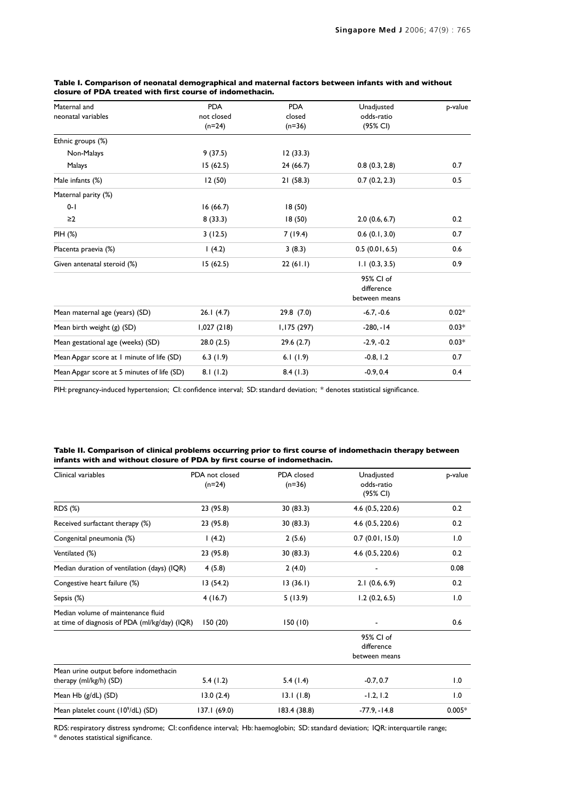| Maternal and                               | <b>PDA</b> | <b>PDA</b>   | Unadjusted         | p-value |
|--------------------------------------------|------------|--------------|--------------------|---------|
| neonatal variables                         | not closed | closed       | odds-ratio         |         |
|                                            | $(n=24)$   | $(n=36)$     | (95% CI)           |         |
| Ethnic groups (%)                          |            |              |                    |         |
| Non-Malays                                 | 9(37.5)    | 12(33.3)     |                    |         |
| Malays                                     | 15(62.5)   | 24(66.7)     | 0.8(0.3, 2.8)      | 0.7     |
| Male infants (%)                           | 12(50)     | 21(58.3)     | 0.7(0.2, 2.3)      | 0.5     |
| Maternal parity (%)                        |            |              |                    |         |
| $0 - 1$                                    | 16(66.7)   | 18(50)       |                    |         |
| $\geq$ 2                                   | 8(33.3)    | 18(50)       | 2.0(0.6, 6.7)      | 0.2     |
| PIH (%)                                    | 3(12.5)    | 7(19.4)      | $0.6$ $(0.1, 3.0)$ | 0.7     |
| Placenta praevia (%)                       | 1(4.2)     | 3(8.3)       | 0.5(0.01, 6.5)     | 0.6     |
| Given antenatal steroid (%)                | 15(62.5)   | 22(61.1)     | 1.1(0.3, 3.5)      | 0.9     |
|                                            |            |              | 95% CI of          |         |
|                                            |            |              | difference         |         |
|                                            |            |              | between means      |         |
| Mean maternal age (years) (SD)             | 26.1(4.7)  | 29.8(7.0)    | $-6.7, -0.6$       | $0.02*$ |
| Mean birth weight (g) (SD)                 | 1,027(218) | I, I75 (297) | $-280, -14$        | $0.03*$ |
| Mean gestational age (weeks) (SD)          | 28.0(2.5)  | 29.6(2.7)    | $-2.9, -0.2$       | $0.03*$ |
| Mean Apgar score at 1 minute of life (SD)  | 6.3(1.9)   | 6.1 $(1.9)$  | $-0.8, 1.2$        | 0.7     |
| Mean Apgar score at 5 minutes of life (SD) | 8.1(1.2)   | 8.4(1.3)     | $-0.9, 0.4$        | 0.4     |

**Table I. Comparison of neonatal demographical and maternal factors between infants with and without closure of PDA treated with first course of indomethacin.**

PIH: pregnancy-induced hypertension; CI: confidence interval; SD: standard deviation; \* denotes statistical significance.

| Table II. Comparison of clinical problems occurring prior to first course of indomethacin therapy between |  |
|-----------------------------------------------------------------------------------------------------------|--|
| infants with and without closure of PDA by first course of indomethacin.                                  |  |

| Clinical variables                                                                  | PDA not closed<br>$(n=24)$ | PDA closed<br>$(n=36)$ | Unadjusted<br>odds-ratio<br>(95% CI)     | p-value  |
|-------------------------------------------------------------------------------------|----------------------------|------------------------|------------------------------------------|----------|
| RDS (%)                                                                             | 23 (95.8)                  | 30(83.3)               | $4.6$ (0.5, 220.6)                       | 0.2      |
| Received surfactant therapy (%)                                                     | 23 (95.8)                  | 30(83.3)               | $4.6$ (0.5, 220.6)                       | 0.2      |
| Congenital pneumonia (%)                                                            | 1(4.2)                     | 2(5.6)                 | 0.7(0.01, 15.0)                          | 1.0      |
| Ventilated (%)                                                                      | 23 (95.8)                  | 30(83.3)               | $4.6$ (0.5, 220.6)                       | 0.2      |
| Median duration of ventilation (days) (IQR)                                         | 4(5.8)                     | 2(4.0)                 |                                          | 0.08     |
| Congestive heart failure (%)                                                        | 13(54.2)                   | 13(36.1)               | 2.1(0.6, 6.9)                            | 0.2      |
| Sepsis (%)                                                                          | 4(16.7)                    | 5(13.9)                | 1.2(0.2, 6.5)                            | 1.0      |
| Median volume of maintenance fluid<br>at time of diagnosis of PDA (ml/kg/day) (IQR) | 150(20)                    | 150(10)                |                                          | 0.6      |
|                                                                                     |                            |                        | 95% CI of<br>difference<br>between means |          |
| Mean urine output before indomethacin                                               |                            |                        |                                          |          |
| therapy (ml/kg/h) (SD)                                                              | 5.4(1.2)                   | 5.4 $(1.4)$            | $-0.7, 0.7$                              | 1.0      |
| Mean Hb (g/dL) (SD)                                                                 | 13.0(2.4)                  | 13.1(1.8)              | $-1.2, 1.2$                              | 1.0      |
| Mean platelet count (10 <sup>9</sup> /dL) (SD)                                      | 137.1 (69.0)               | 183.4 (38.8)           | $-77.9 - 14.8$                           | $0.005*$ |

RDS: respiratory distress syndrome; CI: confidence interval; Hb: haemoglobin; SD: standard deviation; IQR: interquartile range; \* denotes statistical significance.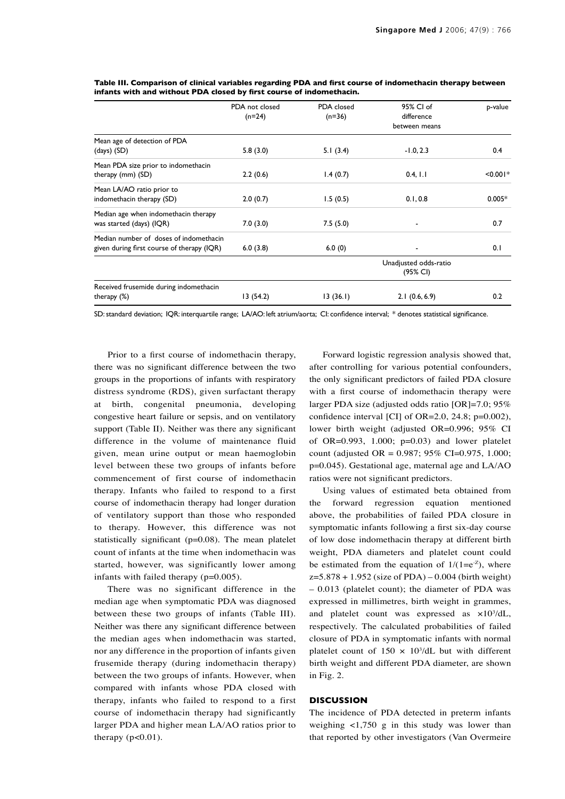|                                            | PDA not closed<br>$(n=24)$ | PDA closed<br>$(n=36)$ | 95% CI of<br>difference<br>between means | p-value    |
|--------------------------------------------|----------------------------|------------------------|------------------------------------------|------------|
| Mean age of detection of PDA               |                            |                        |                                          |            |
| $(days)$ (SD)                              | 5.8(3.0)                   | 5.1(3.4)               | $-1.0, 2.3$                              | 0.4        |
| Mean PDA size prior to indomethacin        |                            |                        |                                          |            |
| therapy (mm) (SD)                          | 2.2(0.6)                   | 1.4(0.7)               | 0.4, 1.1                                 | $< 0.001*$ |
| Mean LA/AO ratio prior to                  |                            |                        |                                          |            |
| indomethacin therapy (SD)                  | 2.0(0.7)                   | 1.5(0.5)               | 0.1, 0.8                                 | $0.005*$   |
| Median age when indomethacin therapy       |                            |                        |                                          |            |
| was started (days) (IQR)                   | 7.0(3.0)                   | 7.5(5.0)               |                                          | 0.7        |
| Median number of doses of indomethacin     |                            |                        |                                          |            |
| given during first course of therapy (IQR) | 6.0(3.8)                   | 6.0(0)                 |                                          | 0.1        |
|                                            |                            |                        | Unadjusted odds-ratio<br>(95% CI)        |            |
| Received frusemide during indomethacin     |                            |                        |                                          |            |
| therapy $(\%)$                             | 13(54.2)                   | 13(36.1)               | 2.1(0.6, 6.9)                            | 0.2        |

**Table III. Comparison of clinical variables regarding PDA and first course of indomethacin therapy between infants with and without PDA closed by first course of indomethacin.**

SD: standard deviation; IQR: interquartile range; LA/AO: left atrium/aorta; CI: confidence interval; \* denotes statistical significance.

Prior to a first course of indomethacin therapy, there was no significant difference between the two groups in the proportions of infants with respiratory distress syndrome (RDS), given surfactant therapy at birth, congenital pneumonia, developing congestive heart failure or sepsis, and on ventilatory support (Table II). Neither was there any significant difference in the volume of maintenance fluid given, mean urine output or mean haemoglobin level between these two groups of infants before commencement of first course of indomethacin therapy. Infants who failed to respond to a first course of indomethacin therapy had longer duration of ventilatory support than those who responded to therapy. However, this difference was not statistically significant (p=0.08). The mean platelet count of infants at the time when indomethacin was started, however, was significantly lower among infants with failed therapy (p=0.005).

There was no significant difference in the median age when symptomatic PDA was diagnosed between these two groups of infants (Table III). Neither was there any significant difference between the median ages when indomethacin was started, nor any difference in the proportion of infants given frusemide therapy (during indomethacin therapy) between the two groups of infants. However, when compared with infants whose PDA closed with therapy, infants who failed to respond to a first course of indomethacin therapy had significantly larger PDA and higher mean LA/AO ratios prior to therapy  $(p<0.01)$ .

Forward logistic regression analysis showed that, after controlling for various potential confounders, the only significant predictors of failed PDA closure with a first course of indomethacin therapy were larger PDA size (adjusted odds ratio [OR]=7.0; 95% confidence interval [CI] of OR=2.0, 24.8; p=0.002), lower birth weight (adjusted OR=0.996; 95% CI of OR=0.993, 1.000; p=0.03) and lower platelet count (adjusted OR =  $0.987$ ;  $95\%$  CI=0.975, 1.000; p=0.045). Gestational age, maternal age and LA/AO ratios were not significant predictors.

Using values of estimated beta obtained from the forward regression equation mentioned above, the probabilities of failed PDA closure in symptomatic infants following a first six-day course of low dose indomethacin therapy at different birth weight, PDA diameters and platelet count could be estimated from the equation of  $1/(1=e^{-z})$ , where  $z=5.878 + 1.952$  (size of PDA) – 0.004 (birth weight) – 0.013 (platelet count); the diameter of PDA was expressed in millimetres, birth weight in grammes, and platelet count was expressed as  $\times 10^{3}/dL$ , respectively. The calculated probabilities of failed closure of PDA in symptomatic infants with normal platelet count of  $150 \times 10^{3}/dL$  but with different birth weight and different PDA diameter, are shown in Fig. 2.

## **DISCUSSION**

The incidence of PDA detected in preterm infants weighing <1,750 g in this study was lower than that reported by other investigators (Van Overmeire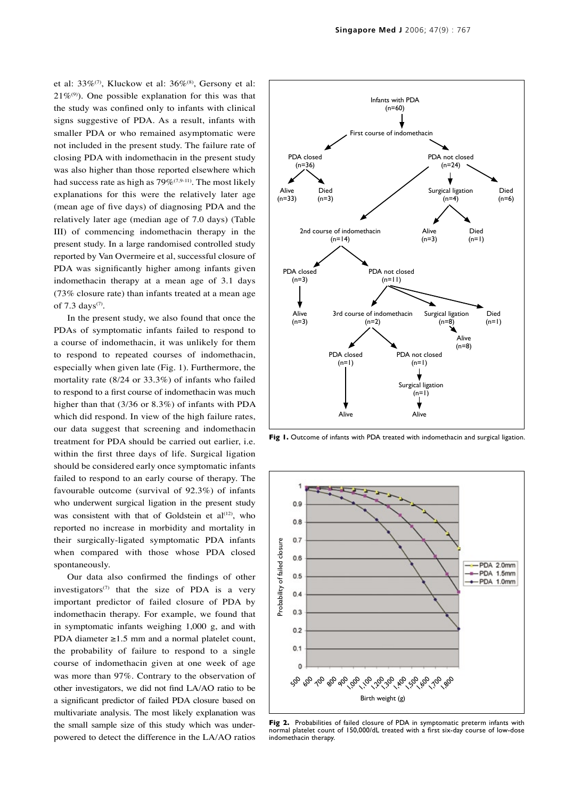et al: 33%<sup>(7)</sup>, Kluckow et al: 36%<sup>(8)</sup>, Gersony et al:  $21\%^{(9)}$ . One possible explanation for this was that the study was confined only to infants with clinical signs suggestive of PDA. As a result, infants with smaller PDA or who remained asymptomatic were not included in the present study. The failure rate of closing PDA with indomethacin in the present study was also higher than those reported elsewhere which had success rate as high as  $79\%$ <sup>(7,9-11)</sup>. The most likely explanations for this were the relatively later age (mean age of five days) of diagnosing PDA and the relatively later age (median age of 7.0 days) (Table III) of commencing indomethacin therapy in the present study. In a large randomised controlled study reported by Van Overmeire et al, successful closure of PDA was significantly higher among infants given indomethacin therapy at a mean age of 3.1 days (73% closure rate) than infants treated at a mean age of  $7.3 \text{ days}$ <sup>(7)</sup>.

In the present study, we also found that once the PDAs of symptomatic infants failed to respond to a course of indomethacin, it was unlikely for them to respond to repeated courses of indomethacin, especially when given late (Fig. 1). Furthermore, the mortality rate (8/24 or 33.3%) of infants who failed to respond to a first course of indomethacin was much higher than that (3/36 or 8.3%) of infants with PDA which did respond. In view of the high failure rates, our data suggest that screening and indomethacin treatment for PDA should be carried out earlier, i.e. within the first three days of life. Surgical ligation should be considered early once symptomatic infants failed to respond to an early course of therapy. The favourable outcome (survival of 92.3%) of infants who underwent surgical ligation in the present study was consistent with that of Goldstein et  $al^{(12)}$ , who reported no increase in morbidity and mortality in their surgically-ligated symptomatic PDA infants when compared with those whose PDA closed spontaneously.

Our data also confirmed the findings of other investigators<sup>(7)</sup> that the size of PDA is a very important predictor of failed closure of PDA by indomethacin therapy. For example, we found that in symptomatic infants weighing 1,000 g, and with PDA diameter ≥1.5 mm and a normal platelet count, the probability of failure to respond to a single course of indomethacin given at one week of age was more than 97%. Contrary to the observation of other investigators, we did not find LA/AO ratio to be a significant predictor of failed PDA closure based on multivariate analysis. The most likely explanation was the small sample size of this study which was underpowered to detect the difference in the LA/AO ratios



**Fig 1.** Outcome of infants with PDA treated with indomethacin and surgical ligation.



**Fig 2.** Probabilities of failed closure of PDA in symptomatic preterm infants with normal platelet count of 150,000/dL treated with a first six-day course of low-dose indomethacin therapy.